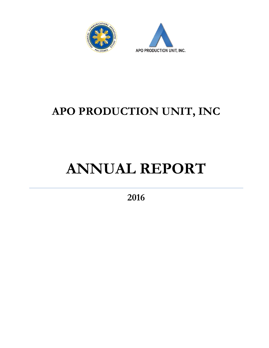



## **APO PRODUCTION UNIT, INC**

# **ANNUAL REPORT**

**2016**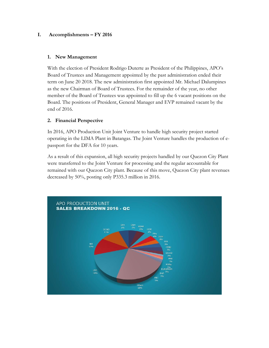#### **I. Accomplishments – FY 2016**

#### **1. New Management**

With the election of President Rodrigo Duterte as President of the Philippines, APO's Board of Trustees and Management appointed by the past administration ended their term on June 20 2018. The new administration first appointed Mr. Michael Dalumpines as the new Chairman of Board of Trustees. For the remainder of the year, no other member of the Board of Trustees was appointed to fill up the 6 vacant positions on the Board. The positions of President, General Manager and EVP remained vacant by the end of 2016.

#### **2. Financial Perspective**

In 2016, APO Production Unit Joint Venture to handle high security project started operating in the LIMA Plant in Batangas. The Joint Venture handles the production of epassport for the DFA for 10 years.

As a result of this expansion, all high security projects handled by our Quezon City Plant were transferred to the Joint Venture for processing and the regular accountable for remained with our Quezon City plant. Because of this move, Quezon City plant revenues decreased by 50%, posting only P335.3 million in 2016.

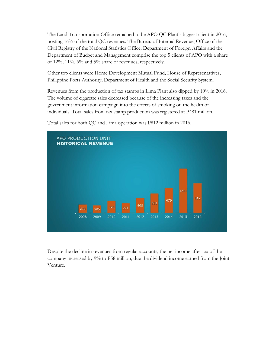The Land Transportation Office remained to be APO QC Plant's biggest client in 2016, posting 16% of the total QC revenues. The Bureau of Internal Revenue, Office of the Civil Registry of the National Statistics Office, Department of Foreign Affairs and the Department of Budget and Management comprise the top 5 clients of APO with a share of 12%, 11%, 6% and 5% share of revenues, respectively.

Other top clients were Home Development Mutual Fund, House of Representatives, Philippine Ports Authority, Department of Health and the Social Security System.

Revenues from the production of tax stamps in Lima Plant also dipped by 10% in 2016. The volume of cigarette sales decreased because of the increasing taxes and the government information campaign into the effects of smoking on the health of individuals. Total sales from tax stamp production was registered at P481 million.



Total sales for both QC and Lima operation was P812 million in 2016.

Despite the decline in revenues from regular accounts, the net income after tax of the company increased by 9% to P58 million, due the dividend income earned from the Joint Venture.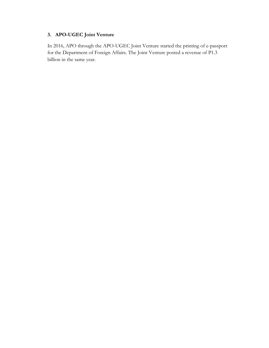#### **3. APO-UGEC Joint Venture**

In 2016, APO through the APO-UGEC Joint Venture started the printing of e-passport for the Department of Foreign Affairs. The Joint Venture posted a revenue of P1.3 billion in the same year.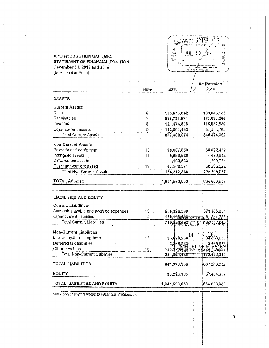| APO PRODUCTION UNIT, INC.<br>STATEMENT OF FINANCIAL POSITION<br>December 31, 2016 and 2015<br>(in Philippine Peso) |      | ¥<br>$\mathcal{C}_{\mathcal{A}}$ , $\mathcal{C}_{\mathcal{A}}$<br>JUL.<br>$\mathcal{H}^{\ast}$<br>$\mathbf{x}^2$ . $\mathbf{y}^2$<br>打字 | 25<br>家门<br>17<br>r.<br>Uİ.<br><b>E</b><br>Fri<br>на се ечно следуваат то камери оп<br>го ба наук пританти |
|--------------------------------------------------------------------------------------------------------------------|------|-----------------------------------------------------------------------------------------------------------------------------------------|------------------------------------------------------------------------------------------------------------|
|                                                                                                                    |      |                                                                                                                                         | As Restated                                                                                                |
|                                                                                                                    | Note | 2016                                                                                                                                    | 2015                                                                                                       |
| ASSETS                                                                                                             |      |                                                                                                                                         |                                                                                                            |
| <b>Current Assets</b>                                                                                              |      |                                                                                                                                         |                                                                                                            |
| Cash                                                                                                               | 6    | 103,676,042                                                                                                                             | 199,943,185                                                                                                |
| Receivables                                                                                                        | 7    | 538,728,571                                                                                                                             | 173,880,066                                                                                                |
| Inventories                                                                                                        | 8    | 121,474,898                                                                                                                             | 115,052,889                                                                                                |
| Other current assets                                                                                               | 9    | 113,501,163                                                                                                                             | 51,598,762                                                                                                 |
| <b>Total Current Assets</b>                                                                                        |      | 877,380,674                                                                                                                             | 540,474,902                                                                                                |
| Non-Current Assets                                                                                                 |      |                                                                                                                                         |                                                                                                            |
| Property and equipment                                                                                             | 10.  | 99,067,659                                                                                                                              | 68.072.459                                                                                                 |
| Intangible assets                                                                                                  | 11   | 6,085,826                                                                                                                               | 4,690,632                                                                                                  |
| Deferred tax assets                                                                                                |      | 1,109,533                                                                                                                               | 1,209,724                                                                                                  |
| Other non-current assets                                                                                           | 12   | 47,949,371                                                                                                                              | -50,233,222                                                                                                |
| Total Non-Current Assets                                                                                           |      | 154,212,389                                                                                                                             | 124,206,037                                                                                                |
| TOTAL ASSETS                                                                                                       |      | 1,031,593,063                                                                                                                           | 664,630,939                                                                                                |
| <b>LIABILITIES AND EQUITY</b><br><b>Current Liabilities</b>                                                        |      |                                                                                                                                         |                                                                                                            |
| Accounts payable and accrued expenses                                                                              | 13   | 580,326,369                                                                                                                             | 373,103,684                                                                                                |
| Other current liabilities                                                                                          | 14   | 139,496,30355                                                                                                                           | <b>አገ</b> ፍተሰን የአማር አ                                                                                      |
| Total Current Liabilities.                                                                                         |      | 719, 122, 172                                                                                                                           | #34/867.P40<br>TС                                                                                          |
| Non-Current Liabilities<br>Loans payable - long-term                                                               | 15   | 94,418,250                                                                                                                              |                                                                                                            |
| Deferred tax liabilities                                                                                           |      | 3,365,83                                                                                                                                |                                                                                                            |
| Other payables<br><b>Total Non-Current Liabilities</b>                                                             | 16   | 123,970<br>221,854,486                                                                                                                  | 172,388,342                                                                                                |
| TOTAL LIABILITIES                                                                                                  |      | 941,376,968                                                                                                                             | 607,246,282                                                                                                |
| <b>EQUITY</b>                                                                                                      |      | 90,216,105                                                                                                                              | 57,434,657                                                                                                 |
| TOTAL LIABILITIES AND EQUITY                                                                                       |      | 1,031,593,063                                                                                                                           | 664,680,939                                                                                                |

See accompanying Notes to Financial Statements.

 $\mathsf{s}$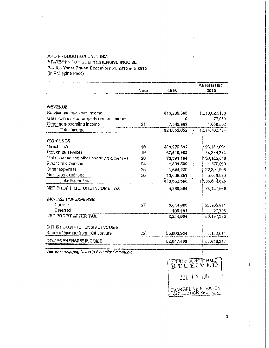#### APO PRODUCTION UNIT, INC. STATEMENT OF COMPREHENSIVE INCOME For the Years Ended December 31, 2016 and 2015 (In Philippine Peso)

 $\frac{1}{\alpha}$ 

 $\bar{\phantom{a}}$ 

|                                          |      |             | As Restated   |
|------------------------------------------|------|-------------|---------------|
|                                          | Note | 2016        | 2015          |
|                                          |      |             |               |
| <b>REVENUE</b>                           |      |             |               |
| Service and business income              |      | 816,206,063 | 1,210,626,193 |
| Gain from sale on property and equipment |      | Ð           | 77,069        |
| Other non-operating income               | 21   | 7,845,989   | 4,059,502     |
| Total Income                             |      | 824,052,052 | 1:214,762,764 |
|                                          |      |             |               |
| <b>EXPENSES</b>                          |      |             |               |
| Direct costs                             | 18   | 663,975,602 | 893,163,031   |
| Personnel services                       | 19   | 67,610,952  | 75,286,373    |
| Maintenance and other operating expenses | 20   | 73,891,104  | 138,422,549   |
| Financial expenses                       | 24   | 1,531,539   | 1,372,050     |
| Other expenses                           | 25   | 1,644,230   | 22,301,996    |
| Non-cash expenses                        | 26   | 10,009,261  | 6,068,826     |
| Total Expenses                           |      | 818,662,688 | 1 136,614,825 |
| NET PROFIT BEFORE INCOME TAX             |      | 5,389,364   | 78,147,939    |
| <b>INCOME TAX EXPENSE</b>                |      |             |               |
| Current                                  | 27   | 3,044,609   | 27,982,811    |
| Deferred                                 |      | 100,191     | 27,795        |
| NET PROFIT AFTER TAX                     |      | 2,244,664   | 50,137,333    |
| <b>OTHER COMPREHENSIVE INCOME</b>        |      |             |               |
| Share of income from joint venture       | 22   | 55,802,934  | 2,482,014     |
| <b>COMPREHENSIVE INCOME</b>              |      | 58,047,498  | 52,619,347    |
|                                          |      |             |               |

See accompanying Notes to Financial Statements.

| RECEI               |  | BIRRDO 38 NORTH Q.C. |  |
|---------------------|--|----------------------|--|
| <b>JUL 1 2 2017</b> |  |                      |  |
|                     |  |                      |  |
|                     |  | EVANGELINE E. BALEN  |  |

 $\bar{1}$ 

 $\frac{1}{\epsilon}$ 

 $\frac{1}{3}$  $\frac{1}{3}$ ÷

j

 $\frac{1}{2}$ 

 $\ddot{\phantom{a}}$ 

 $\epsilon^2$ 

 $\ddot{\xi}$ 

 $\begin{array}{c} 0 \\ 0 \\ 1 \\ 0 \end{array}$ 

 $\frac{1}{2}$ 

t

 $\mathsf{G}$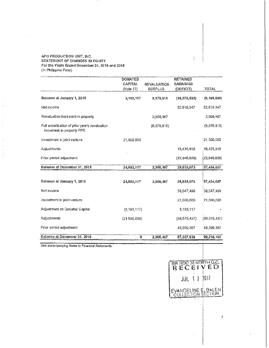#### APO PRODUCTION UNIT, INC. STATEMENT OF CHANGES IN EQUITY For the Years Ended December 31, 2016 and 2015 (in Philippine Peso)

|                                                                             | <b>DONATED</b> |                    | <b>RETAINED</b> |               |
|-----------------------------------------------------------------------------|----------------|--------------------|-----------------|---------------|
|                                                                             | <b>CAPITAL</b> | <b>REVALUATION</b> | <b>EARNINGS</b> |               |
|                                                                             | (Note 17)      | <b>SURPLUS</b>     | (DEFICIT)       | TOTAL         |
| Balance at January 1, 2015                                                  | 3,193,117      | 6,976,816          | (16, 275, 532)  | (6, 105, 599) |
| Net income                                                                  |                |                    | 52.619,347      | 52,619,347    |
| Revaluation increment in property                                           |                | 2,908,467          |                 | 2,908,467     |
| Full amortization of prior year's revaluation<br>increment in property PPE. |                | (6,976,816)        |                 | (6,976,816)   |
| Investment in joint venture                                                 | 21,500,000     |                    |                 | 21,500,000    |
| Adjustments                                                                 |                |                    | 16,435,916      | 16,435,916    |
| Prior period adjustment                                                     |                |                    | (22.946, 658)   | (22,946,658)  |
| Balance at December 31, 2015                                                | 24,693,117     | 2,908,467          | 29,833,073      | 57,434,657    |
|                                                                             |                |                    |                 |               |
| Balance at January 1, 2016                                                  | 24,693,117     | 2.908.467          | 29,833,073      | 57,434,657    |
| Net income                                                                  |                |                    | 58,047,498      | 58,047,498    |
| Investment in joint venture                                                 |                |                    | 21,500,000      | 21,500,000    |
| Adjustment on Donated Capital                                               | (3, 193, 117)  |                    | 3,193,117       |               |
| Adjustments                                                                 | (21,500,000)   |                    | (68, 575, 437)  | (90,075,437)  |
| Prior period adjustment.                                                    |                |                    | 43,309,367      | 43,309,387    |
| Balance at December 31, 2016                                                | ß              | 2.908.467          | 87,307,638      | 90,216,105    |

See accompanying Notes to Financial Statements.

 $\bar{z}$ 

BIR ROOSENOKTHOLE.  $JUL$ ,  $\frac{1}{2}$   $\frac{1}{2}$   $2017$ EVANGELINE **E. BALEN** 

 $\vec{r}$ 

 $\ddot{\phi}$